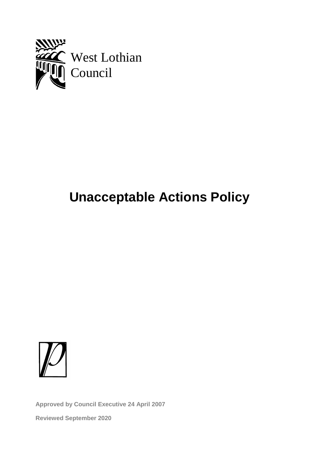

# **Unacceptable Actions Policy**



**Approved by Council Executive 24 April 2007**

**Reviewed September 2020**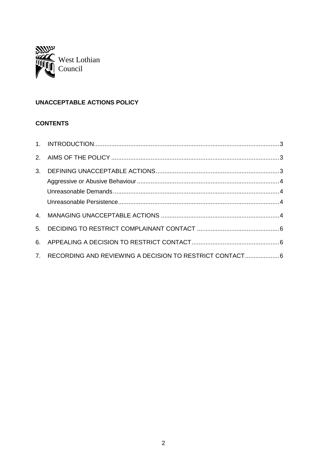

# **UNACCEPTABLE ACTIONS POLICY**

# **CONTENTS**

| 4. |                                                            |  |
|----|------------------------------------------------------------|--|
| 5. |                                                            |  |
|    |                                                            |  |
|    | 7. RECORDING AND REVIEWING A DECISION TO RESTRICT CONTACT6 |  |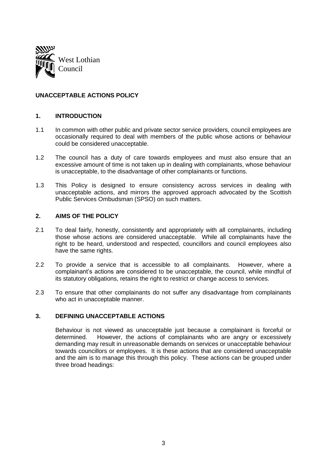

# **UNACCEPTABLE ACTIONS POLICY**

#### **1. INTRODUCTION**

- 1.1 In common with other public and private sector service providers, council employees are occasionally required to deal with members of the public whose actions or behaviour could be considered unacceptable.
- 1.2 The council has a duty of care towards employees and must also ensure that an excessive amount of time is not taken up in dealing with complainants, whose behaviour is unacceptable, to the disadvantage of other complainants or functions.
- 1.3 This Policy is designed to ensure consistency across services in dealing with unacceptable actions, and mirrors the approved approach advocated by the Scottish Public Services Ombudsman (SPSO) on such matters.

#### **2. AIMS OF THE POLICY**

- 2.1 To deal fairly, honestly, consistently and appropriately with all complainants, including those whose actions are considered unacceptable. While all complainants have the right to be heard, understood and respected, councillors and council employees also have the same rights.
- 2.2 To provide a service that is accessible to all complainants. However, where a complainant's actions are considered to be unacceptable, the council, while mindful of its statutory obligations, retains the right to restrict or change access to services.
- 2.3 To ensure that other complainants do not suffer any disadvantage from complainants who act in unacceptable manner.

# **3. DEFINING UNACCEPTABLE ACTIONS**

Behaviour is not viewed as unacceptable just because a complainant is forceful or determined. However, the actions of complainants who are angry or excessively demanding may result in unreasonable demands on services or unacceptable behaviour towards councillors or employees. It is these actions that are considered unacceptable and the aim is to manage this through this policy. These actions can be grouped under three broad headings: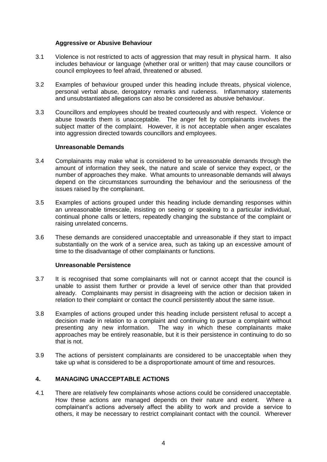#### **Aggressive or Abusive Behaviour**

- 3.1 Violence is not restricted to acts of aggression that may result in physical harm. It also includes behaviour or language (whether oral or written) that may cause councillors or council employees to feel afraid, threatened or abused.
- 3.2 Examples of behaviour grouped under this heading include threats, physical violence, personal verbal abuse, derogatory remarks and rudeness. Inflammatory statements and unsubstantiated allegations can also be considered as abusive behaviour.
- 3.3 Councillors and employees should be treated courteously and with respect. Violence or abuse towards them is unacceptable. The anger felt by complainants involves the subject matter of the complaint. However, it is not acceptable when anger escalates into aggression directed towards councillors and employees.

#### **Unreasonable Demands**

- 3.4 Complainants may make what is considered to be unreasonable demands through the amount of information they seek, the nature and scale of service they expect, or the number of approaches they make. What amounts to unreasonable demands will always depend on the circumstances surrounding the behaviour and the seriousness of the issues raised by the complainant.
- 3.5 Examples of actions grouped under this heading include demanding responses within an unreasonable timescale, insisting on seeing or speaking to a particular individual, continual phone calls or letters, repeatedly changing the substance of the complaint or raising unrelated concerns.
- 3.6 These demands are considered unacceptable and unreasonable if they start to impact substantially on the work of a service area, such as taking up an excessive amount of time to the disadvantage of other complainants or functions.

# **Unreasonable Persistence**

- 3.7 It is recognised that some complainants will not or cannot accept that the council is unable to assist them further or provide a level of service other than that provided already. Complainants may persist in disagreeing with the action or decision taken in relation to their complaint or contact the council persistently about the same issue.
- 3.8 Examples of actions grouped under this heading include persistent refusal to accept a decision made in relation to a complaint and continuing to pursue a complaint without presenting any new information. The way in which these complainants make approaches may be entirely reasonable, but it is their persistence in continuing to do so that is not.
- 3.9 The actions of persistent complainants are considered to be unacceptable when they take up what is considered to be a disproportionate amount of time and resources.

# **4. MANAGING UNACCEPTABLE ACTIONS**

4.1 There are relatively few complainants whose actions could be considered unacceptable. How these actions are managed depends on their nature and extent. Where a complainant's actions adversely affect the ability to work and provide a service to others, it may be necessary to restrict complainant contact with the council. Wherever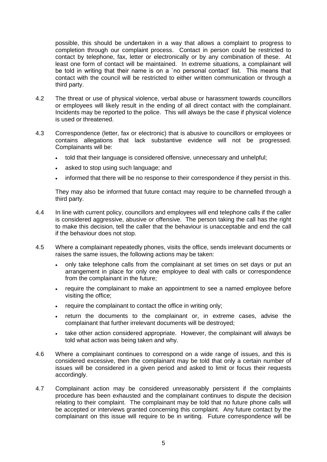possible, this should be undertaken in a way that allows a complaint to progress to completion through our complaint process. Contact in person could be restricted to contact by telephone, fax, letter or electronically or by any combination of these. At least one form of contact will be maintained. In extreme situations, a complainant will be told in writing that their name is on a `no personal contact' list. This means that contact with the council will be restricted to either written communication or through a third party.

- 4.2 The threat or use of physical violence, verbal abuse or harassment towards councillors or employees will likely result in the ending of all direct contact with the complainant. Incidents may be reported to the police. This will always be the case if physical violence is used or threatened.
- 4.3 Correspondence (letter, fax or electronic) that is abusive to councillors or employees or contains allegations that lack substantive evidence will not be progressed. Complainants will be:
	- told that their language is considered offensive, unnecessary and unhelpful;
	- asked to stop using such language; and
	- informed that there will be no response to their correspondence if they persist in this.

They may also be informed that future contact may require to be channelled through a third party.

- 4.4 In line with current policy, councillors and employees will end telephone calls if the caller is considered aggressive, abusive or offensive. The person taking the call has the right to make this decision, tell the caller that the behaviour is unacceptable and end the call if the behaviour does not stop.
- 4.5 Where a complainant repeatedly phones, visits the office, sends irrelevant documents or raises the same issues, the following actions may be taken:
	- only take telephone calls from the complainant at set times on set days or put an arrangement in place for only one employee to deal with calls or correspondence from the complainant in the future;
	- require the complainant to make an appointment to see a named employee before visiting the office;
	- require the complainant to contact the office in writing only;
	- return the documents to the complainant or, in extreme cases, advise the complainant that further irrelevant documents will be destroyed;
	- take other action considered appropriate. However, the complainant will always be told what action was being taken and why.
- 4.6 Where a complainant continues to correspond on a wide range of issues, and this is considered excessive, then the complainant may be told that only a certain number of issues will be considered in a given period and asked to limit or focus their requests accordingly.
- 4.7 Complainant action may be considered unreasonably persistent if the complaints procedure has been exhausted and the complainant continues to dispute the decision relating to their complaint. The complainant may be told that no future phone calls will be accepted or interviews granted concerning this complaint. Any future contact by the complainant on this issue will require to be in writing. Future correspondence will be